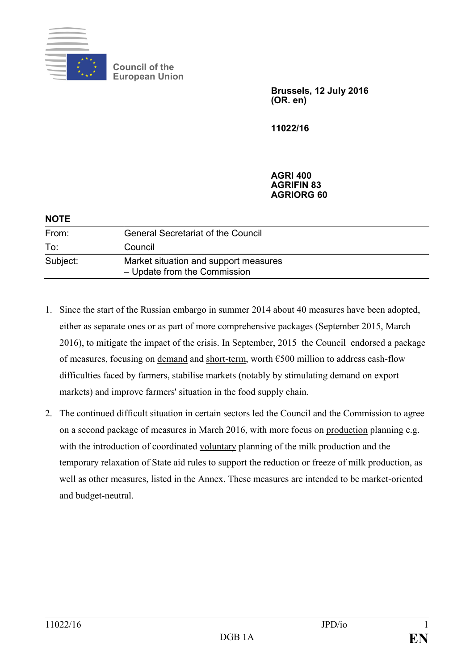

**Council of the European Union**

> **Brussels, 12 July 2016 (OR. en)**

**11022/16**

## **AGRI 400 AGRIFIN 83 AGRIORG 60**

| <b>NOTE</b> |                                                                       |
|-------------|-----------------------------------------------------------------------|
| From:       | <b>General Secretariat of the Council</b>                             |
| To:         | Council                                                               |
| Subject:    | Market situation and support measures<br>- Update from the Commission |

- 1. Since the start of the Russian embargo in summer 2014 about 40 measures have been adopted, either as separate ones or as part of more comprehensive packages (September 2015, March 2016), to mitigate the impact of the crisis. In September, 2015 the Council endorsed a package of measures, focusing on demand and short-term, worth €500 million to address cash-flow difficulties faced by farmers, stabilise markets (notably by stimulating demand on export markets) and improve farmers' situation in the food supply chain.
- 2. The continued difficult situation in certain sectors led the Council and the Commission to agree on a second package of measures in March 2016, with more focus on production planning e.g. with the introduction of coordinated voluntary planning of the milk production and the temporary relaxation of State aid rules to support the reduction or freeze of milk production, as well as other measures, listed in the Annex. These measures are intended to be market-oriented and budget-neutral.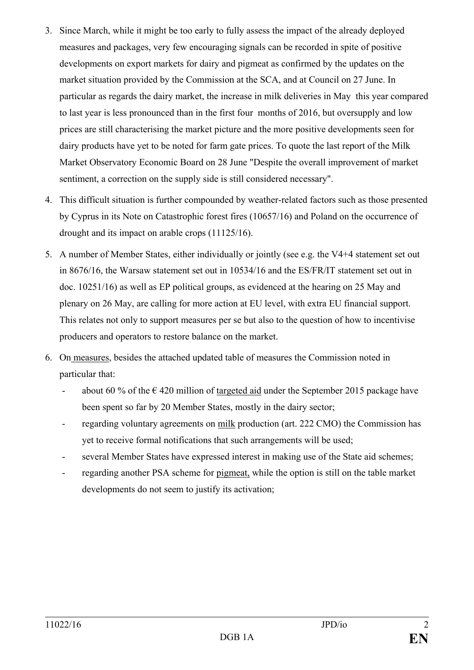- 3. Since March, while it might be too early to fully assess the impact of the already deployed measures and packages, very few encouraging signals can be recorded in spite of positive developments on export markets for dairy and pigmeat as confirmed by the updates on the market situation provided by the Commission at the SCA, and at Council on 27 June. In particular as regards the dairy market, the increase in milk deliveries in May this year compared to last year is less pronounced than in the first four months of 2016, but oversupply and low prices are still characterising the market picture and the more positive developments seen for dairy products have yet to be noted for farm gate prices. To quote the last report of the Milk Market Observatory Economic Board on 28 June "Despite the overall improvement of market sentiment, a correction on the supply side is still considered necessary".
- 4. This difficult situation is further compounded by weather-related factors such as those presented by Cyprus in its Note on Catastrophic forest fires (10657/16) and Poland on the occurrence of drought and its impact on arable crops (11125/16).
- 5. A number of Member States, either individually or jointly (see e.g. the V4+4 statement set out in 8676/16, the Warsaw statement set out in 10534/16 and the ES/FR/IT statement set out in doc. 10251/16) as well as EP political groups, as evidenced at the hearing on 25 May and plenary on 26 May, are calling for more action at EU level, with extra EU financial support. This relates not only to support measures per se but also to the question of how to incentivise producers and operators to restore balance on the market.
- 6. On measures, besides the attached updated table of measures the Commission noted in particular that:
	- about 60 % of the  $\epsilon$  420 million of targeted aid under the September 2015 package have been spent so far by 20 Member States, mostly in the dairy sector;
	- regarding voluntary agreements on milk production (art. 222 CMO) the Commission has yet to receive formal notifications that such arrangements will be used;
	- several Member States have expressed interest in making use of the State aid schemes;
	- regarding another PSA scheme for pigmeat, while the option is still on the table market developments do not seem to justify its activation;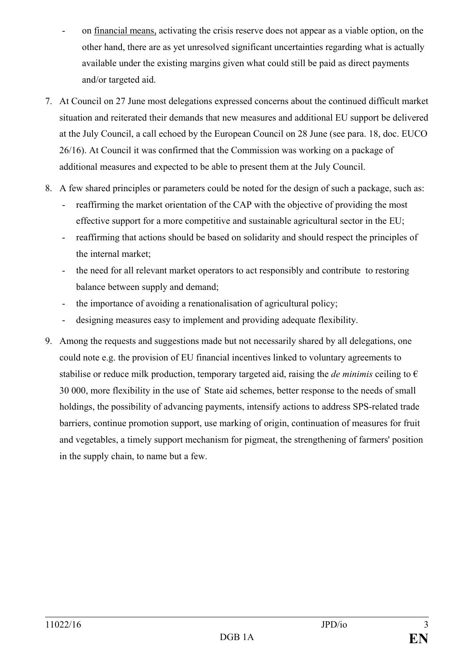- on financial means, activating the crisis reserve does not appear as a viable option, on the other hand, there are as yet unresolved significant uncertainties regarding what is actually available under the existing margins given what could still be paid as direct payments and/or targeted aid.
- 7. At Council on 27 June most delegations expressed concerns about the continued difficult market situation and reiterated their demands that new measures and additional EU support be delivered at the July Council, a call echoed by the European Council on 28 June (see para. 18, doc. EUCO 26/16). At Council it was confirmed that the Commission was working on a package of additional measures and expected to be able to present them at the July Council.
- 8. A few shared principles or parameters could be noted for the design of such a package, such as:
	- reaffirming the market orientation of the CAP with the objective of providing the most effective support for a more competitive and sustainable agricultural sector in the EU;
	- reaffirming that actions should be based on solidarity and should respect the principles of the internal market;
	- the need for all relevant market operators to act responsibly and contribute to restoring balance between supply and demand;
	- the importance of avoiding a renationalisation of agricultural policy;
	- designing measures easy to implement and providing adequate flexibility.
- 9. Among the requests and suggestions made but not necessarily shared by all delegations, one could note e.g. the provision of EU financial incentives linked to voluntary agreements to stabilise or reduce milk production, temporary targeted aid, raising the *de minimis* ceiling to  $\epsilon$ 30 000, more flexibility in the use of State aid schemes, better response to the needs of small holdings, the possibility of advancing payments, intensify actions to address SPS-related trade barriers, continue promotion support, use marking of origin, continuation of measures for fruit and vegetables, a timely support mechanism for pigmeat, the strengthening of farmers' position in the supply chain, to name but a few.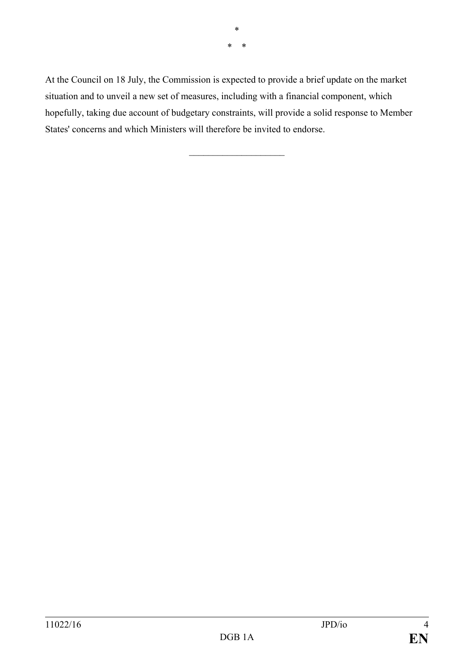\* \* \*

At the Council on 18 July, the Commission is expected to provide a brief update on the market situation and to unveil a new set of measures, including with a financial component, which hopefully, taking due account of budgetary constraints, will provide a solid response to Member States' concerns and which Ministers will therefore be invited to endorse.

 $\overline{\phantom{a}}$  , and the set of the set of the set of the set of the set of the set of the set of the set of the set of the set of the set of the set of the set of the set of the set of the set of the set of the set of the s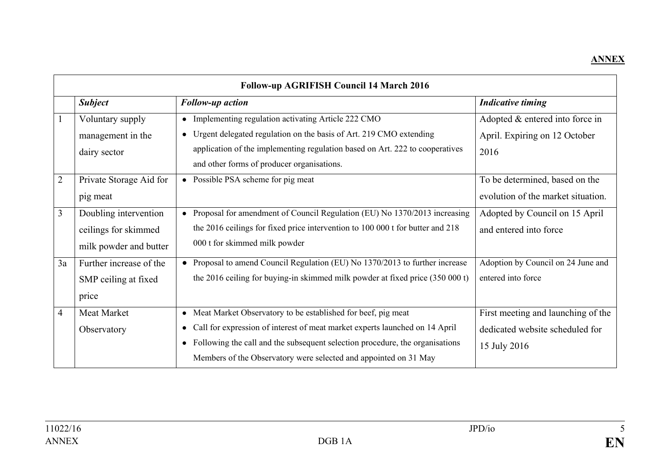## **ANNEX**

| <b>Follow-up AGRIFISH Council 14 March 2016</b> |                         |                                                                                           |                                    |
|-------------------------------------------------|-------------------------|-------------------------------------------------------------------------------------------|------------------------------------|
|                                                 | <b>Subject</b>          | <b>Follow-up action</b>                                                                   | <b>Indicative timing</b>           |
|                                                 | Voluntary supply        | • Implementing regulation activating Article 222 CMO                                      | Adopted & entered into force in    |
|                                                 | management in the       | • Urgent delegated regulation on the basis of Art. 219 CMO extending                      | April. Expiring on 12 October      |
|                                                 | dairy sector            | application of the implementing regulation based on Art. 222 to cooperatives              | 2016                               |
|                                                 |                         | and other forms of producer organisations.                                                |                                    |
| $\overline{2}$                                  | Private Storage Aid for | • Possible PSA scheme for pig meat                                                        | To be determined, based on the     |
|                                                 | pig meat                |                                                                                           | evolution of the market situation. |
| 3                                               | Doubling intervention   | • Proposal for amendment of Council Regulation (EU) No 1370/2013 increasing               | Adopted by Council on 15 April     |
|                                                 | ceilings for skimmed    | the 2016 ceilings for fixed price intervention to 100 000 t for butter and 218            | and entered into force             |
|                                                 | milk powder and butter  | 000 t for skimmed milk powder                                                             |                                    |
| 3a                                              | Further increase of the | • Proposal to amend Council Regulation (EU) No 1370/2013 to further increase              | Adoption by Council on 24 June and |
|                                                 | SMP ceiling at fixed    | the 2016 ceiling for buying-in skimmed milk powder at fixed price (350 000 t)             | entered into force                 |
|                                                 | price                   |                                                                                           |                                    |
| $\overline{4}$                                  | Meat Market             | Meat Market Observatory to be established for beef, pig meat<br>$\bullet$                 | First meeting and launching of the |
|                                                 | Observatory             | Call for expression of interest of meat market experts launched on 14 April<br>$\bullet$  | dedicated website scheduled for    |
|                                                 |                         | Following the call and the subsequent selection procedure, the organisations<br>$\bullet$ | 15 July 2016                       |
|                                                 |                         | Members of the Observatory were selected and appointed on 31 May                          |                                    |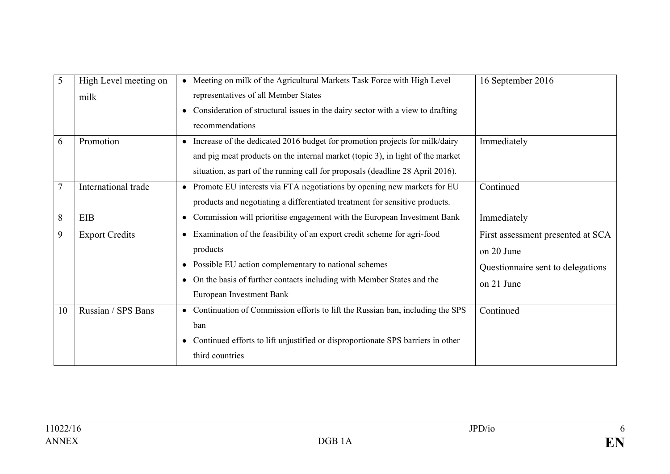| 5              | High Level meeting on | Meeting on milk of the Agricultural Markets Task Force with High Level<br>$\bullet$          | 16 September 2016                 |
|----------------|-----------------------|----------------------------------------------------------------------------------------------|-----------------------------------|
|                | milk                  | representatives of all Member States                                                         |                                   |
|                |                       | Consideration of structural issues in the dairy sector with a view to drafting<br>$\bullet$  |                                   |
|                |                       | recommendations                                                                              |                                   |
| 6              | Promotion             | Increase of the dedicated 2016 budget for promotion projects for milk/dairy<br>$\bullet$     | Immediately                       |
|                |                       | and pig meat products on the internal market (topic 3), in light of the market               |                                   |
|                |                       | situation, as part of the running call for proposals (deadline 28 April 2016).               |                                   |
| $\overline{7}$ | International trade   | Promote EU interests via FTA negotiations by opening new markets for EU<br>$\bullet$         | Continued                         |
|                |                       | products and negotiating a differentiated treatment for sensitive products.                  |                                   |
| 8              | <b>EIB</b>            | Commission will prioritise engagement with the European Investment Bank<br>$\bullet$         | Immediately                       |
| 9              | <b>Export Credits</b> | Examination of the feasibility of an export credit scheme for agri-food<br>$\bullet$         | First assessment presented at SCA |
|                |                       | products                                                                                     | on 20 June                        |
|                |                       | Possible EU action complementary to national schemes<br>$\bullet$                            | Questionnaire sent to delegations |
|                |                       | On the basis of further contacts including with Member States and the<br>$\bullet$           | on 21 June                        |
|                |                       | European Investment Bank                                                                     |                                   |
| 10             | Russian / SPS Bans    | Continuation of Commission efforts to lift the Russian ban, including the SPS<br>$\bullet$   | Continued                         |
|                |                       | ban                                                                                          |                                   |
|                |                       | Continued efforts to lift unjustified or disproportionate SPS barriers in other<br>$\bullet$ |                                   |
|                |                       | third countries                                                                              |                                   |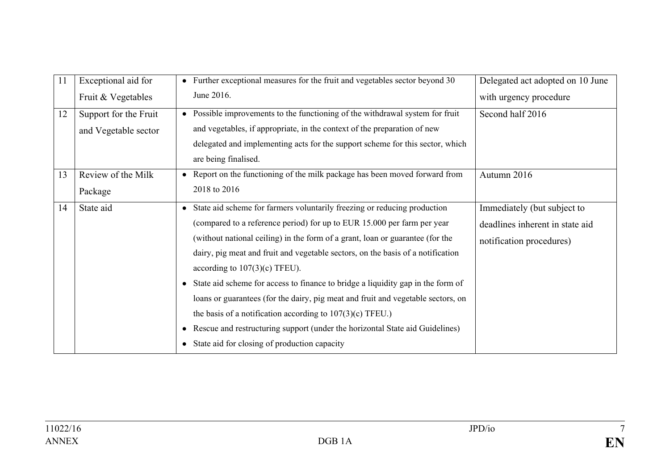| 11 | Exceptional aid for   | Further exceptional measures for the fruit and vegetables sector beyond 30                   | Delegated act adopted on 10 June |
|----|-----------------------|----------------------------------------------------------------------------------------------|----------------------------------|
|    | Fruit & Vegetables    | June 2016.                                                                                   | with urgency procedure           |
| 12 | Support for the Fruit | Possible improvements to the functioning of the withdrawal system for fruit<br>$\bullet$     | Second half 2016                 |
|    | and Vegetable sector  | and vegetables, if appropriate, in the context of the preparation of new                     |                                  |
|    |                       | delegated and implementing acts for the support scheme for this sector, which                |                                  |
|    |                       | are being finalised.                                                                         |                                  |
| 13 | Review of the Milk    | Report on the functioning of the milk package has been moved forward from                    | Autumn 2016                      |
|    | Package               | 2018 to 2016                                                                                 |                                  |
| 14 | State aid             | State aid scheme for farmers voluntarily freezing or reducing production<br>$\bullet$        | Immediately (but subject to      |
|    |                       | (compared to a reference period) for up to EUR 15.000 per farm per year                      | deadlines inherent in state aid  |
|    |                       | (without national ceiling) in the form of a grant, loan or guarantee (for the                | notification procedures)         |
|    |                       | dairy, pig meat and fruit and vegetable sectors, on the basis of a notification              |                                  |
|    |                       | according to $107(3)(c)$ TFEU).                                                              |                                  |
|    |                       | State aid scheme for access to finance to bridge a liquidity gap in the form of<br>$\bullet$ |                                  |
|    |                       | loans or guarantees (for the dairy, pig meat and fruit and vegetable sectors, on             |                                  |
|    |                       | the basis of a notification according to $107(3)(c)$ TFEU.)                                  |                                  |
|    |                       | Rescue and restructuring support (under the horizontal State aid Guidelines)<br>$\bullet$    |                                  |
|    |                       | State aid for closing of production capacity<br>$\bullet$                                    |                                  |